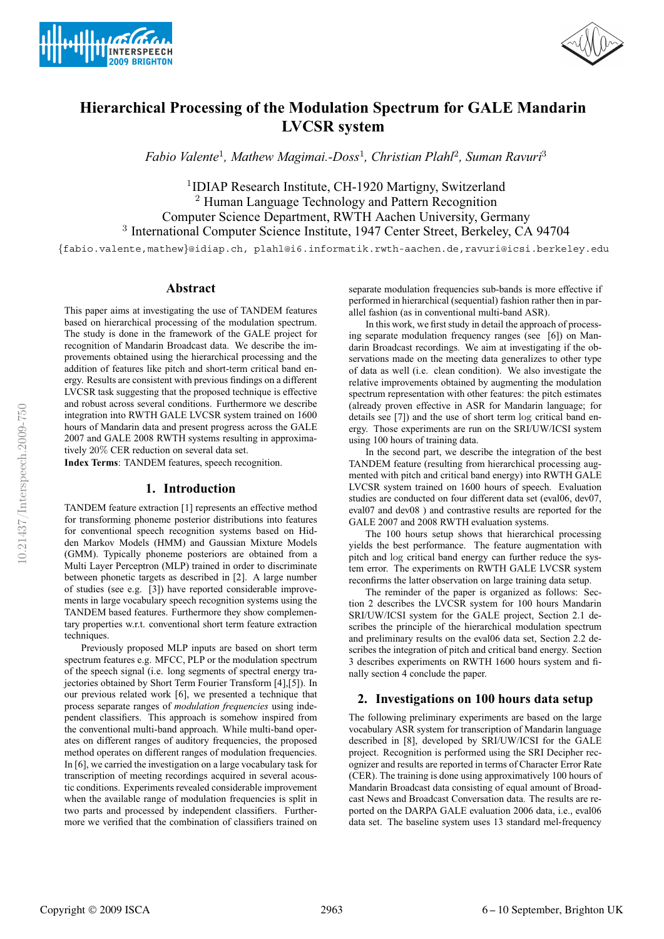



# **Hierarchical Processing of the Modulation Spectrum for GALE Mandarin LVCSR system**

*Fabio Valente*<sup>1</sup>*, Mathew Magimai.-Doss*<sup>1</sup>*, Christian Plahl*<sup>2</sup>*, Suman Ravuri*<sup>3</sup>

<sup>1</sup>IDIAP Research Institute, CH-1920 Martigny, Switzerland <sup>2</sup> Human Language Technology and Pattern Recognition Computer Science Department, RWTH Aachen University, Germany <sup>3</sup> International Computer Science Institute, 1947 Center Street, Berkeley, CA 94704

{fabio.valente,mathew}@idiap.ch, plahl@i6.informatik.rwth-aachen.de,ravuri@icsi.berkeley.edu

## **Abstract**

This paper aims at investigating the use of TANDEM features based on hierarchical processing of the modulation spectrum. The study is done in the framework of the GALE project for recognition of Mandarin Broadcast data. We describe the improvements obtained using the hierarchical processing and the addition of features like pitch and short-term critical band energy. Results are consistent with previous findings on a different LVCSR task suggesting that the proposed technique is effective and robust across several conditions. Furthermore we describe integration into RWTH GALE LVCSR system trained on 1600 hours of Mandarin data and present progress across the GALE 2007 and GALE 2008 RWTH systems resulting in approximatively 20% CER reduction on several data set.

**Index Terms**: TANDEM features, speech recognition.

## **1. Introduction**

TANDEM feature extraction [1] represents an effective method for transforming phoneme posterior distributions into features for conventional speech recognition systems based on Hidden Markov Models (HMM) and Gaussian Mixture Models (GMM). Typically phoneme posteriors are obtained from a Multi Layer Perceptron (MLP) trained in order to discriminate between phonetic targets as described in [2]. A large number of studies (see e.g. [3]) have reported considerable improvements in large vocabulary speech recognition systems using the TANDEM based features. Furthermore they show complementary properties w.r.t. conventional short term feature extraction techniques.

Previously proposed MLP inputs are based on short term spectrum features e.g. MFCC, PLP or the modulation spectrum of the speech signal (i.e. long segments of spectral energy trajectories obtained by Short Term Fourier Transform [4],[5]). In our previous related work [6], we presented a technique that process separate ranges of *modulation frequencies* using independent classifiers. This approach is somehow inspired from the conventional multi-band approach. While multi-band operates on different ranges of auditory frequencies, the proposed method operates on different ranges of modulation frequencies. In [6], we carried the investigation on a large vocabulary task for transcription of meeting recordings acquired in several acoustic conditions. Experiments revealed considerable improvement when the available range of modulation frequencies is split in two parts and processed by independent classifiers. Furthermore we verified that the combination of classifiers trained on separate modulation frequencies sub-bands is more effective if performed in hierarchical (sequential) fashion rather then in parallel fashion (as in conventional multi-band ASR).

In this work, we first study in detail the approach of processing separate modulation frequency ranges (see [6]) on Mandarin Broadcast recordings. We aim at investigating if the observations made on the meeting data generalizes to other type of data as well (i.e. clean condition). We also investigate the relative improvements obtained by augmenting the modulation spectrum representation with other features: the pitch estimates (already proven effective in ASR for Mandarin language; for details see [7]) and the use of short term log critical band energy. Those experiments are run on the SRI/UW/ICSI system using 100 hours of training data.

In the second part, we describe the integration of the best TANDEM feature (resulting from hierarchical processing augmented with pitch and critical band energy) into RWTH GALE LVCSR system trained on 1600 hours of speech. Evaluation studies are conducted on four different data set (eval06, dev07, eval07 and dev08 ) and contrastive results are reported for the GALE 2007 and 2008 RWTH evaluation systems.

The 100 hours setup shows that hierarchical processing yields the best performance. The feature augmentation with pitch and log critical band energy can further reduce the system error. The experiments on RWTH GALE LVCSR system reconfirms the latter observation on large training data setup.

The reminder of the paper is organized as follows: Section 2 describes the LVCSR system for 100 hours Mandarin SRI/UW/ICSI system for the GALE project, Section 2.1 describes the principle of the hierarchical modulation spectrum and preliminary results on the eval06 data set, Section 2.2 describes the integration of pitch and critical band energy. Section 3 describes experiments on RWTH 1600 hours system and finally section 4 conclude the paper.

## **2. Investigations on 100 hours data setup**

The following preliminary experiments are based on the large vocabulary ASR system for transcription of Mandarin language described in [8], developed by SRI/UW/ICSI for the GALE project. Recognition is performed using the SRI Decipher recognizer and results are reported in terms of Character Error Rate (CER). The training is done using approximatively 100 hours of Mandarin Broadcast data consisting of equal amount of Broadcast News and Broadcast Conversation data. The results are reported on the DARPA GALE evaluation 2006 data, i.e., eval06 data set. The baseline system uses 13 standard mel-frequency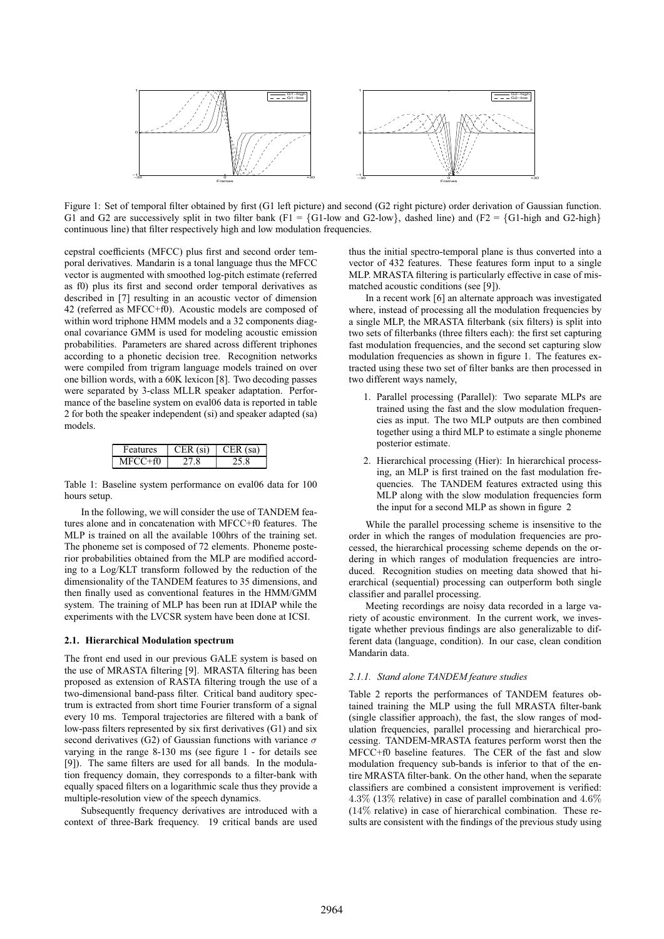

Figure 1: Set of temporal filter obtained by first (G1 left picture) and second (G2 right picture) order derivation of Gaussian function. G1 and G2 are successively split in two filter bank (F1 = {G1-low and G2-low}, dashed line) and (F2 = {G1-high and G2-high} continuous line) that filter respectively high and low modulation frequencies.

cepstral coefficients (MFCC) plus first and second order temporal derivatives. Mandarin is a tonal language thus the MFCC vector is augmented with smoothed log-pitch estimate (referred as f0) plus its first and second order temporal derivatives as described in [7] resulting in an acoustic vector of dimension 42 (referred as MFCC+f0). Acoustic models are composed of within word triphone HMM models and a 32 components diagonal covariance GMM is used for modeling acoustic emission probabilities. Parameters are shared across different triphones according to a phonetic decision tree. Recognition networks were compiled from trigram language models trained on over one billion words, with a 60K lexicon [8]. Two decoding passes were separated by 3-class MLLR speaker adaptation. Performance of the baseline system on eval06 data is reported in table 2 for both the speaker independent (si) and speaker adapted (sa) models.

| <b>Features</b> | $CER$ (si) | sa)<br>L'ER L |
|-----------------|------------|---------------|
|                 |            |               |

Table 1: Baseline system performance on eval06 data for 100 hours setup.

In the following, we will consider the use of TANDEM features alone and in concatenation with MFCC+f0 features. The MLP is trained on all the available 100hrs of the training set. The phoneme set is composed of 72 elements. Phoneme posterior probabilities obtained from the MLP are modified according to a Log/KLT transform followed by the reduction of the dimensionality of the TANDEM features to 35 dimensions, and then finally used as conventional features in the HMM/GMM system. The training of MLP has been run at IDIAP while the experiments with the LVCSR system have been done at ICSI.

#### **2.1. Hierarchical Modulation spectrum**

The front end used in our previous GALE system is based on the use of MRASTA filtering [9]. MRASTA filtering has been proposed as extension of RASTA filtering trough the use of a two-dimensional band-pass filter. Critical band auditory spectrum is extracted from short time Fourier transform of a signal every 10 ms. Temporal trajectories are filtered with a bank of low-pass filters represented by six first derivatives (G1) and six second derivatives (G2) of Gaussian functions with variance  $\sigma$ varying in the range 8-130 ms (see figure 1 - for details see [9]). The same filters are used for all bands. In the modulation frequency domain, they corresponds to a filter-bank with equally spaced filters on a logarithmic scale thus they provide a multiple-resolution view of the speech dynamics.

Subsequently frequency derivatives are introduced with a context of three-Bark frequency. 19 critical bands are used thus the initial spectro-temporal plane is thus converted into a vector of 432 features. These features form input to a single MLP. MRASTA filtering is particularly effective in case of mismatched acoustic conditions (see [9]).

In a recent work [6] an alternate approach was investigated where, instead of processing all the modulation frequencies by a single MLP, the MRASTA filterbank (six filters) is split into two sets of filterbanks (three filters each): the first set capturing fast modulation frequencies, and the second set capturing slow modulation frequencies as shown in figure 1. The features extracted using these two set of filter banks are then processed in two different ways namely,

- 1. Parallel processing (Parallel): Two separate MLPs are trained using the fast and the slow modulation frequencies as input. The two MLP outputs are then combined together using a third MLP to estimate a single phoneme posterior estimate.
- 2. Hierarchical processing (Hier): In hierarchical processing, an MLP is first trained on the fast modulation frequencies. The TANDEM features extracted using this MLP along with the slow modulation frequencies form the input for a second MLP as shown in figure 2

While the parallel processing scheme is insensitive to the order in which the ranges of modulation frequencies are processed, the hierarchical processing scheme depends on the ordering in which ranges of modulation frequencies are introduced. Recognition studies on meeting data showed that hierarchical (sequential) processing can outperform both single classifier and parallel processing.

Meeting recordings are noisy data recorded in a large variety of acoustic environment. In the current work, we investigate whether previous findings are also generalizable to different data (language, condition). In our case, clean condition Mandarin data.

#### *2.1.1. Stand alone TANDEM feature studies*

Table 2 reports the performances of TANDEM features obtained training the MLP using the full MRASTA filter-bank (single classifier approach), the fast, the slow ranges of modulation frequencies, parallel processing and hierarchical processing. TANDEM-MRASTA features perform worst then the MFCC+f0 baseline features. The CER of the fast and slow modulation frequency sub-bands is inferior to that of the entire MRASTA filter-bank. On the other hand, when the separate classifiers are combined a consistent improvement is verified: 4.3% (13% relative) in case of parallel combination and 4.6% (14% relative) in case of hierarchical combination. These results are consistent with the findings of the previous study using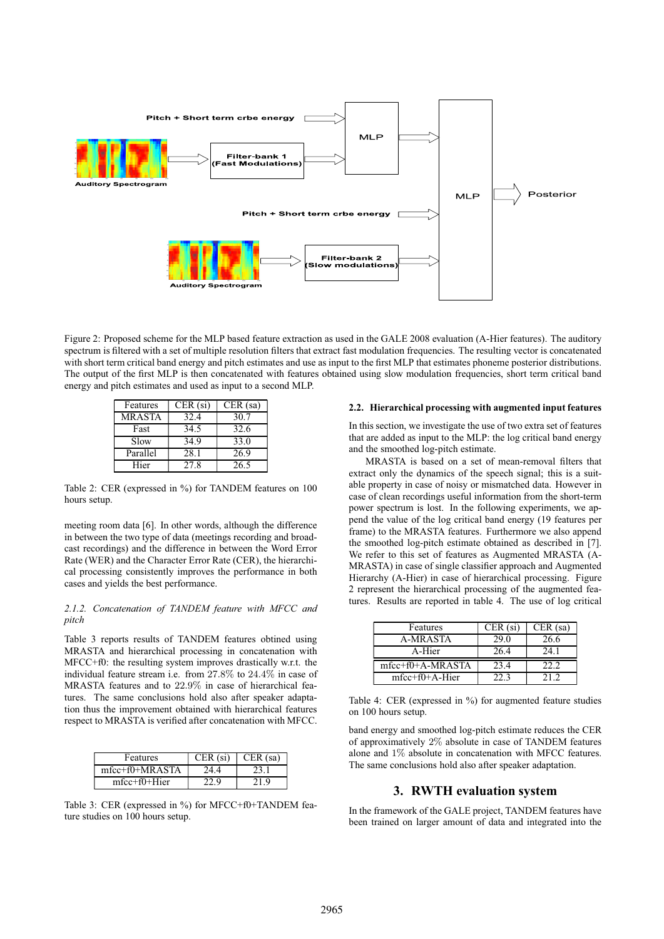

Figure 2: Proposed scheme for the MLP based feature extraction as used in the GALE 2008 evaluation (A-Hier features). The auditory spectrum is filtered with a set of multiple resolution filters that extract fast modulation frequencies. The resulting vector is concatenated with short term critical band energy and pitch estimates and use as input to the first MLP that estimates phoneme posterior distributions. The output of the first MLP is then concatenated with features obtained using slow modulation frequencies, short term critical band energy and pitch estimates and used as input to a second MLP.

| Features      | $CER$ (si) | $CER$ (sa) |
|---------------|------------|------------|
| <b>MRASTA</b> | 32.4       | 30.7       |
| Fast          | 34.5       | 32.6       |
| Slow          | 34.9       | 33.0       |
| Parallel      | 28.1       | 26.9       |
| Hier          | 27.8       | 26.5       |

Table 2: CER (expressed in %) for TANDEM features on 100 hours setup.

meeting room data [6]. In other words, although the difference in between the two type of data (meetings recording and broadcast recordings) and the difference in between the Word Error Rate (WER) and the Character Error Rate (CER), the hierarchical processing consistently improves the performance in both cases and yields the best performance.

#### *2.1.2. Concatenation of TANDEM feature with MFCC and pitch*

Table 3 reports results of TANDEM features obtined using MRASTA and hierarchical processing in concatenation with MFCC+f0: the resulting system improves drastically w.r.t. the individual feature stream i.e. from 27.8% to 24.4% in case of MRASTA features and to 22.9% in case of hierarchical features. The same conclusions hold also after speaker adaptation thus the improvement obtained with hierarchical features respect to MRASTA is verified after concatenation with MFCC.

| Features           | $CER$ (si) | $CER$ (sa) |
|--------------------|------------|------------|
| mfcc+f0+MRASTA     |            |            |
| $mfcc + f0 + Hier$ |            |            |

Table 3: CER (expressed in %) for MFCC+f0+TANDEM feature studies on 100 hours setup.

#### **2.2. Hierarchical processing with augmented input features**

In this section, we investigate the use of two extra set of features that are added as input to the MLP: the log critical band energy and the smoothed log-pitch estimate.

MRASTA is based on a set of mean-removal filters that extract only the dynamics of the speech signal; this is a suitable property in case of noisy or mismatched data. However in case of clean recordings useful information from the short-term power spectrum is lost. In the following experiments, we append the value of the log critical band energy (19 features per frame) to the MRASTA features. Furthermore we also append the smoothed log-pitch estimate obtained as described in [7]. We refer to this set of features as Augmented MRASTA (A-MRASTA) in case of single classifier approach and Augmented Hierarchy (A-Hier) in case of hierarchical processing. Figure 2 represent the hierarchical processing of the augmented features. Results are reported in table 4. The use of log critical

| Features           | $CER$ (si) | $CER$ (sa) |
|--------------------|------------|------------|
| A-MRASTA           | 29.0       | 26.6       |
| A-Hier             | 26.4       | 24.1       |
| $mfcc+f0+A-MRASTA$ | 23.4       | 22.2       |
| $mfcc+f0+A-Hier$   | 22 3       | 21 Z       |

Table 4: CER (expressed in %) for augmented feature studies on 100 hours setup.

band energy and smoothed log-pitch estimate reduces the CER of approximatively 2% absolute in case of TANDEM features alone and 1% absolute in concatenation with MFCC features. The same conclusions hold also after speaker adaptation.

# **3. RWTH evaluation system**

In the framework of the GALE project, TANDEM features have been trained on larger amount of data and integrated into the